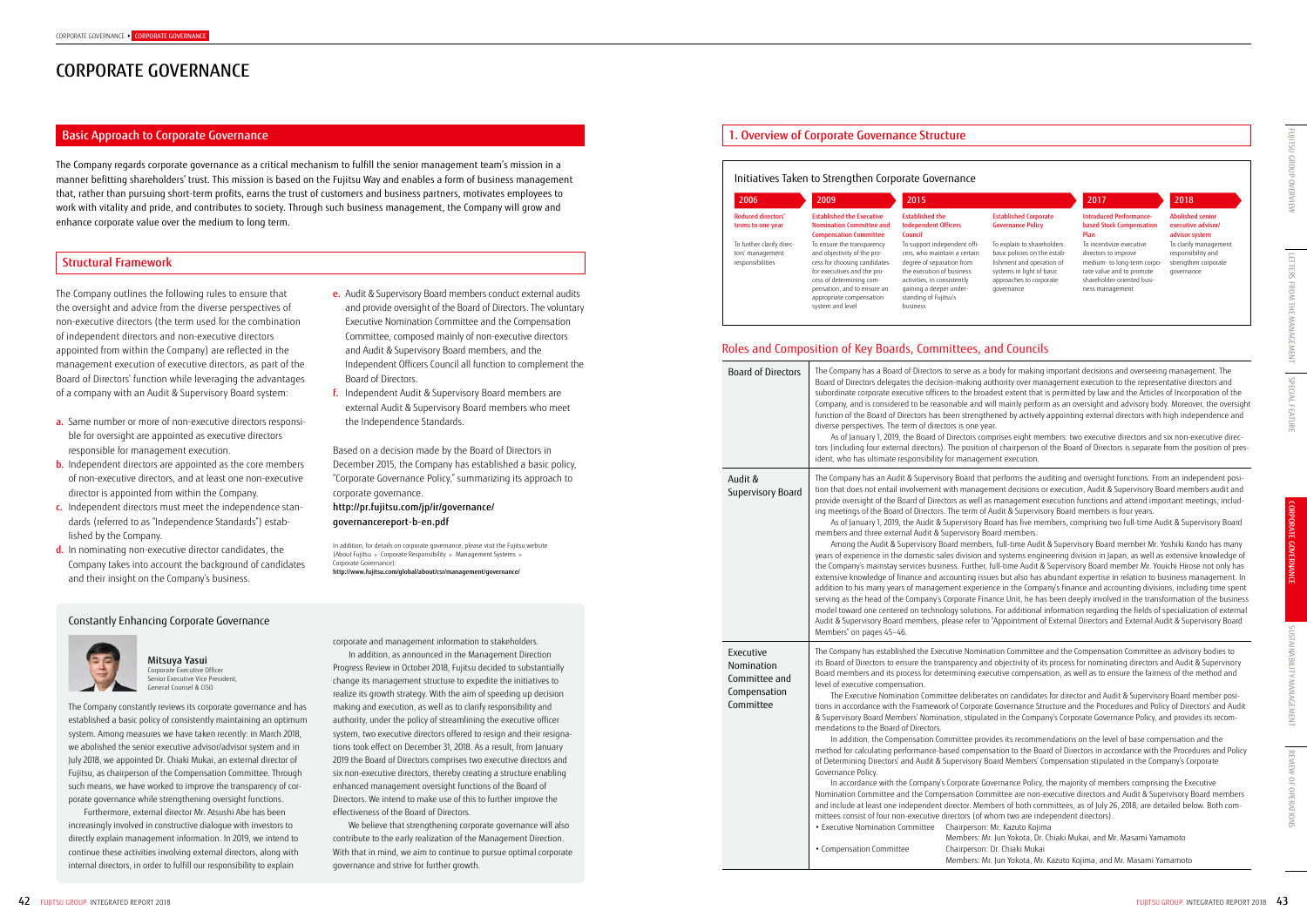# CORPORATE GOVERNANCE

The Company regards corporate governance as a critical mechanism to fulfill the senior management team's mission in a manner befitting shareholders' trust. This mission is based on the Fujitsu Way and enables a form of business management that, rather than pursuing short-term profits, earns the trust of customers and business partners, motivates employees to work with vitality and pride, and contributes to society. Through such business management, the Company will grow and enhance corporate value over the medium to long term.

### Basic Approach to Corporate Governance

### Structural Framework

### 1. Overview of Corporate Governance Structure

- and provide oversight of the Board of Directors. The voluntary Executive Nomination Committee and the Compensation Committee, composed mainly of non-executive directors and Audit & Supervisory Board members, and the Independent Officers Council all function to complement the Board of Directors.
- f. Independent Audit & Supervisory Board members are external Audit & Supervisory Board members who meet the Independence Standards.

To incentivize executive directors to improve medium- to long-term corporate value and to promote shareholder-oriented business management

To clarify managemen responsibility and strengthen corporate governance

body for making important decisions and overseeing management. The uthority over management execution to the representative directors and dest extent that is permitted by law and the Articles of Incorporation of the vill mainly perform as an oversight and advisory body. Moreover, the oversight iened by actively appointing external directors with high independence and

nprises eight members: two executive directors and six non-executive directors (including four external or or contained the position of pres-<br>In the Board of the Board of Directors is separate from the position of presnent execution.

t performs the auditing and oversight functions. From an independent posiment decisions or execution, Audit & Supervisory Board members audit and s management execution functions and attend important meetings, includ-Audit & Supervisory Board members is four years.

loard has five members, comprising two full-time Audit & Supervisory Board pard members

s, full-time Audit & Supervisory Board member Mr. Yoshiki Kondo has many nd systems engineering division in Japan, as well as extensive knowledge of full-time Audit & Supervisory Board member Mr. Youichi Hirose not only has ues but also has abundant expertise in relation to business management. In nce in the Company's finance and accounting divisions, including time spent ance Unit, he has been deeply involved in the transformation of the business . For additional information regarding the fields of specialization of external <sup>"</sup>Appointment of External Directors and External Audit & Supervisory Board

ation Committee and the Compensation Committee as advisory bodies to d objectivity of its process for nominating directors and Audit & Supervisory ecutive compensation, as well as to ensure the fairness of the method and

tes on candidates for director and Audit & Supervisory Board member posite Governance Structure and the Procedures and Policy of Directors' and Audit ted in the Company's Corporate Governance Policy, and provides its recom-

ides its recommendations on the level of base compensation and the sation to the Board of Directors in accordance with the Procedures and Policy oard Members' Compensation stipulated in the Company's Corporate

In accordance Policy, the majority of members comprising the Executive Imittee are non-executive directors and Audit & Supervisory Board members abers of both committees, as of July 26, 2018, are detailed below. Both comwhom two are independent directors).

Mr. Kazuto Kojima

, Jun Yokota, Dr. Chiaki Mukai, and Mr. Masami Yamamoto Dr. Chiaki Mukai

Based on a decision made by the Board of Directors in December 2015, the Company has established a basic policy, "Corporate Governance Policy," summarizing its approach to corporate governance.

http://pr.fujitsu.com/jp/ir/governance/ governancereport-b-en.pdf

In addition, for details on corporate governance, please visit the Fujitsu website (About Fujitsu > Corporate Responsibility > Management Systems > Corporate Governance): http://www.fujitsu.com/global/about/csr/management/governance/

- a. Same number or more of non-executive directors responsible for oversight are appointed as executive directors responsible for management execution.
- **b.** Independent directors are appointed as the core members of non-executive directors, and at least one non-executive director is appointed from within the Company.
- c. Independent directors must meet the independence standards (referred to as "Independence Standards") established by the Company.
- d. In nominating non-executive director candidates, the Company takes into account the background of candidates and their insight on the Company's business.

### Introduced Performancebased Stock Compensation Plan

Abolished senior executive advisor/ advisor system

Established Corporate Governance Policy

basic policies on the establishment and operation of systems in light of basic approaches to corporate

the oversight and advice from the diverse perspectives of non-executive directors (the term used for the combination of independent directors and non-executive directors appointed from within the Company) are reflected in the management execution of executive directors, as part of the Board of Directors' function while leveraging the advantages of a company with an Audit & Supervisory Board system:

# Roles and Composition of Key Boards, Committees, and Councils

### 2006 2009 2015 2017 2018 The Company outlines the following rules to ensure that  $\qquad$  e. Audit & Supervisory Board members conduct external audits  $\qquad$  and the compensation and to ensure an gaining a deeper under- governance Reduced directors' terms to one year To further clarify directors' management responsibilities Established the Executive Nomination Committee and Compensation Committee To ensure the transparency and objectivity of the process for choosing candidates for executives and the process of determining compensation, and to ensure an appropriate compensation system and level Established the Independent Officers Council To support independent officers, who maintain a certain degree of separation from the execution of business activities, in consistently gaining a deeper understanding of Fujitsu's business To explain to shareholders Initiatives Taken to Strengthen Corporate Governance

|  | <b>Board of Directors</b>                                             | The Company has a Board of Directors to serve as a bo<br>Board of Directors delegates the decision-making autl<br>subordinate corporate executive officers to the broade<br>Company, and is considered to be reasonable and will<br>function of the Board of Directors has been strengther<br>diverse perspectives. The term of directors is one year.<br>As of January 1, 2019, the Board of Directors comp<br>tors (including four external directors). The position of<br>ident, who has ultimate responsibility for managemer                                                                                                                                                                                                                                                                                                                                                                                                                                         |  |  |  |
|--|-----------------------------------------------------------------------|---------------------------------------------------------------------------------------------------------------------------------------------------------------------------------------------------------------------------------------------------------------------------------------------------------------------------------------------------------------------------------------------------------------------------------------------------------------------------------------------------------------------------------------------------------------------------------------------------------------------------------------------------------------------------------------------------------------------------------------------------------------------------------------------------------------------------------------------------------------------------------------------------------------------------------------------------------------------------|--|--|--|
|  | Audit &<br><b>Supervisory Board</b>                                   | The Company has an Audit & Supervisory Board that p<br>tion that does not entail involvement with manageme<br>provide oversight of the Board of Directors as well as r<br>ing meetings of the Board of Directors. The term of Au<br>As of January 1, 2019, the Audit & Supervisory Boa<br>members and three external Audit & Supervisory Boar<br>Among the Audit & Supervisory Board members,<br>years of experience in the domestic sales division and<br>the Company's mainstay services business. Further, fu<br>extensive knowledge of finance and accounting issue:<br>addition to his many years of management experienc<br>serving as the head of the Company's Corporate Finan<br>model toward one centered on technology solutions. I<br>Audit & Supervisory Board members, please refer to "A<br>Members" on pages 45-46.                                                                                                                                       |  |  |  |
|  | Executive<br>Nomination<br>Committee and<br>Compensation<br>Committee | The Company has established the Executive Nominati<br>its Board of Directors to ensure the transparency and o<br>Board members and its process for determining execu<br>level of executive compensation.<br>The Executive Nomination Committee deliberates<br>tions in accordance with the Framework of Corporate (<br>& Supervisory Board Members' Nomination, stipulated<br>mendations to the Board of Directors.<br>In addition, the Compensation Committee provid<br>method for calculating performance-based compensa<br>of Determining Directors' and Audit & Supervisory Boa<br>Governance Policy.<br>In accordance with the Company's Corporate Gove<br>Nomination Committee and the Compensation Comm<br>and include at least one independent director. Membe<br>mittees consist of four non-executive directors (of who<br>· Executive Nomination Committee<br>Chairperson: M<br>Members: Mr. J<br>Chairperson: D<br>• Compensation Committee<br>Members: Mr. J |  |  |  |

Members: Mr. Jun Yokota, Mr. Kazuto Kojima, and Mr. Masami Yamamoto

The Company constantly reviews its corporate governance and has established a basic policy of consistently maintaining an optimum system. Among measures we have taken recently: in March 2018, we abolished the senior executive advisor/advisor system and in July 2018, we appointed Dr. Chiaki Mukai, an external director of Fujitsu, as chairperson of the Compensation Committee. Through such means, we have worked to improve the transparency of corporate governance while strengthening oversight functions.

Furthermore, external director Mr. Atsushi Abe has been increasingly involved in constructive dialogue with investors to directly explain management information. In 2019, we intend to continue these activities involving external directors, along with internal directors, in order to fulfill our responsibility to explain

corporate and management information to stakeholders.

In addition, as announced in the Management Direction Progress Review in October 2018, Fujitsu decided to substantially change its management structure to expedite the initiatives to realize its growth strategy. With the aim of speeding up decision making and execution, as well as to clarify responsibility and authority, under the policy of streamlining the executive officer system, two executive directors offered to resign and their resignations took effect on December 31, 2018. As a result, from January 2019 the Board of Directors comprises two executive directors and six non-executive directors, thereby creating a structure enabling enhanced management oversight functions of the Board of Directors. We intend to make use of this to further improve the effectiveness of the Board of Directors.

We believe that strengthening corporate governance will also contribute to the early realization of the Management Direction. With that in mind, we aim to continue to pursue optimal corporate governance and strive for further growth.

Mitsuya Yasui Corporate Executive Office Senior Executive Vice President, General Counsel & CISO

Constantly Enhancing Corporate Governance



# FUJITSU GROUP OVERVIEW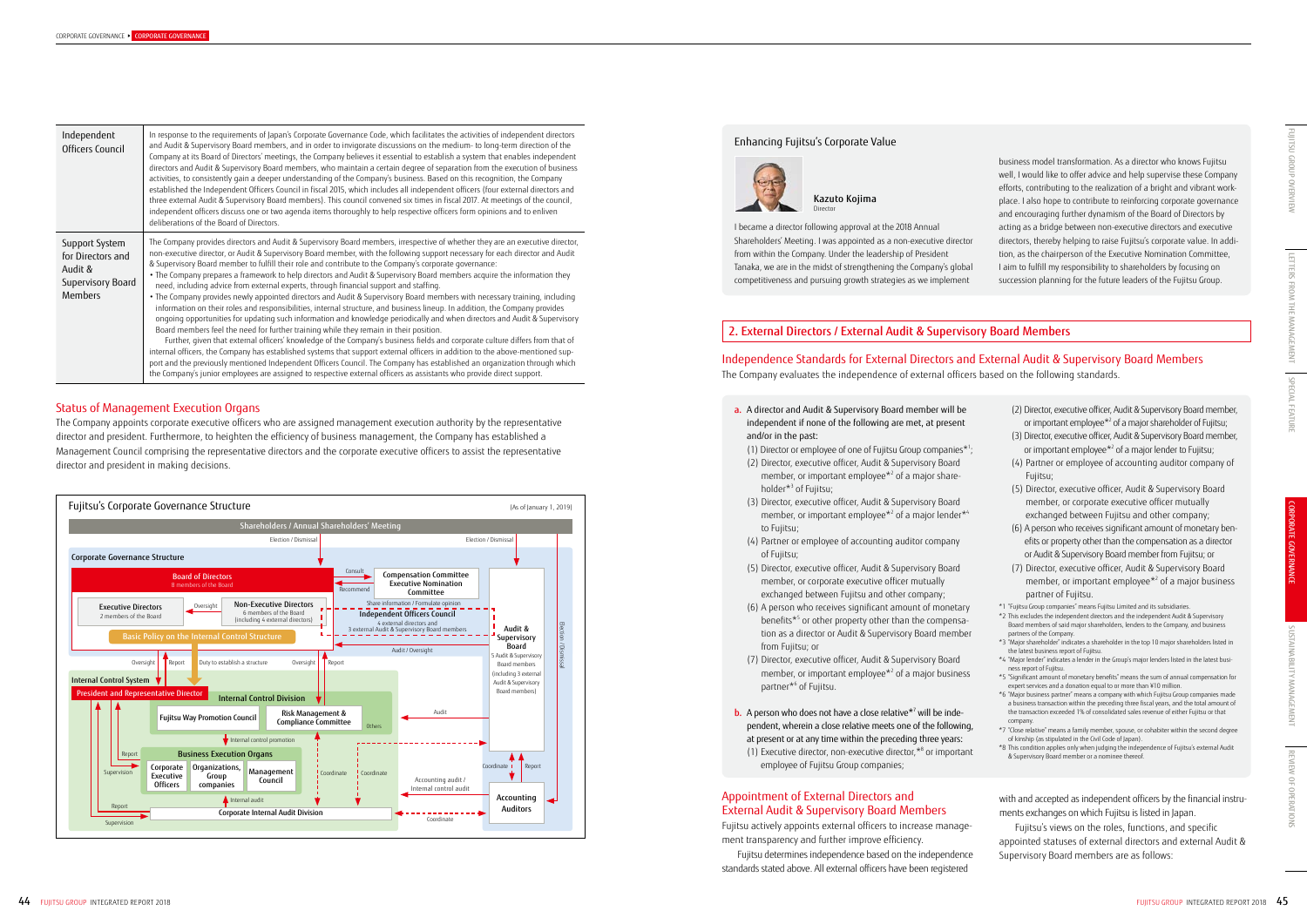- (2) Director, executive officer, Audit & Supervisory Board member, or important employee\*2 of a major shareholder of Fujitsu;
- (3) Director, executive officer, Audit & Supervisory Board member, or important employee<sup>\*2</sup> of a major lender to Fujitsu;
- (4) Partner or employee of accounting auditor company of Fujitsu;
- (5) Director, executive officer, Audit & Supervisory Board member, or corporate executive officer mutually exchanged between Fujitsu and other company;
- (6) A person who receives significant amount of monetary benefits or property other than the compensation as a director or Audit & Supervisory Board member from Fujitsu; or
- (7) Director, executive officer, Audit & Supervisory Board member, or important employee $*$ <sup>2</sup> of a major business partner of Fujitsu.
- \*1 "Fujitsu Group companies" means Fujitsu Limited and its subsidiaries.
- \*2 This excludes the independent directors and the independent Audit & Supervisory Board members of said major shareholders, lenders to the Company, and business partners of the Company.
- \*3 "Major shareholder" indicates a shareholder in the top 10 major shareholders listed in the latest business report of Fujitsu.
- \*4 "Major lender" indicates a lender in the Group's major lenders listed in the latest business report of Fujitsu.
- \*5 "Significant amount of monetary benefits" means the sum of annual compensation for expert services and a donation equal to or more than ¥10 million.
- \*6 "Major business partner" means a company with which Fujitsu Group companies made a business transaction within the preceding three fiscal years, and the total amount of the transaction exceeded 1% of consolidated sales revenue of either Fujitsu or that company.
- \*7 "Close relative" means a family member, spouse, or cohabiter within the second degree of kinship (as stipulated in the Civil Code of Japan).
- \*8 This condition applies only when judging the independence of Fujitsu's external Audit & Supervisory Board member or a nominee thereof.

with and accepted as independent officers by the financial instruments exchanges on which Fujitsu is listed in Japan.

Fujitsu's views on the roles, functions, and specific appointed statuses of external directors and external Audit & Supervisory Board members are as follows:

# Independence Standards for External Directors and External Audit & Supervisory Board Members

The Company evaluates the independence of external officers based on the following standards.

a. A director and Audit & Supervisory Board member will be independent if none of the following are met, at present and/or in the past:

(1) Director or employee of one of Fujitsu Group companies\*1 ;

- (2) Director, executive officer, Audit & Supervisory Board member, or important employee<sup>\*2</sup> of a major shareholder\*3 of Fujitsu;
- (3) Director, executive officer, Audit & Supervisory Board member, or important employee $*$ <sup>2</sup> of a major lender $*$ <sup>4</sup> to Fujitsu;
- (4) Partner or employee of accounting auditor company of Fujitsu;
- (5) Director, executive officer, Audit & Supervisory Board member, or corporate executive officer mutually exchanged between Fujitsu and other company;
- (6) A person who receives significant amount of monetary benefits\*<sup>5</sup> or other property other than the compensation as a director or Audit & Supervisory Board member from Fujitsu; or
- (7) Director, executive officer, Audit & Supervisory Board member, or important employee $*$ <sup>2</sup> of a major business partner\*6 of Fujitsu.
- **b.** A person who does not have a close relative<sup>\*7</sup> will be independent, wherein a close relative meets one of the following, at present or at any time within the preceding three years: (1) Executive director, non-executive director,\*8 or important employee of Fujitsu Group companies;

### Appointment of External Directors and External Audit & Supervisory Board Members

Fujitsu actively appoints external officers to increase management transparency and further improve efficiency.

Fujitsu determines independence based on the independence standards stated above. All external officers have been registered

### Status of Management Execution Organs

The Company appoints corporate executive officers who are assigned management execution authority by the representative director and president. Furthermore, to heighten the efficiency of business management, the Company has established a Management Council comprising the representative directors and the corporate executive officers to assist the representative director and president in making decisions.

| Independent<br>Officers Council                                                       | In response to the requirements of Japan's Corporate Governance Code, which facilitates the activities of independent directors<br>and Audit & Supervisory Board members, and in order to invigorate discussions on the medium- to long-term direction of the<br>Company at its Board of Directors' meetings, the Company believes it essential to establish a system that enables independent<br>directors and Audit & Supervisory Board members, who maintain a certain degree of separation from the execution of business<br>activities, to consistently gain a deeper understanding of the Company's business. Based on this recognition, the Company<br>established the Independent Officers Council in fiscal 2015, which includes all independent officers (four external directors and<br>three external Audit & Supervisory Board members). This council convened six times in fiscal 2017. At meetings of the council,<br>independent officers discuss one or two agenda items thoroughly to help respective officers form opinions and to enliven<br>deliberations of the Board of Directors.                                                                                                                                                                                                                                                                                                                                                                                                                                                                                             |  |  |  |  |
|---------------------------------------------------------------------------------------|-------------------------------------------------------------------------------------------------------------------------------------------------------------------------------------------------------------------------------------------------------------------------------------------------------------------------------------------------------------------------------------------------------------------------------------------------------------------------------------------------------------------------------------------------------------------------------------------------------------------------------------------------------------------------------------------------------------------------------------------------------------------------------------------------------------------------------------------------------------------------------------------------------------------------------------------------------------------------------------------------------------------------------------------------------------------------------------------------------------------------------------------------------------------------------------------------------------------------------------------------------------------------------------------------------------------------------------------------------------------------------------------------------------------------------------------------------------------------------------------------------------------------------------------------------------------------------------------------------|--|--|--|--|
| Support System<br>for Directors and<br>Audit &<br>Supervisory Board<br><b>Members</b> | The Company provides directors and Audit & Supervisory Board members, irrespective of whether they are an executive director,<br>non-executive director, or Audit & Supervisory Board member, with the following support necessary for each director and Audit<br>& Supervisory Board member to fulfill their role and contribute to the Company's corporate governance:<br>• The Company prepares a framework to help directors and Audit & Supervisory Board members acquire the information they<br>need, including advice from external experts, through financial support and staffing.<br>. The Company provides newly appointed directors and Audit & Supervisory Board members with necessary training, including<br>information on their roles and responsibilities, internal structure, and business lineup. In addition, the Company provides<br>ongoing opportunities for updating such information and knowledge periodically and when directors and Audit & Supervisory<br>Board members feel the need for further training while they remain in their position.<br>Further, given that external officers' knowledge of the Company's business fields and corporate culture differs from that of<br>internal officers, the Company has established systems that support external officers in addition to the above-mentioned sup-<br>port and the previously mentioned Independent Officers Council. The Company has established an organization through which<br>the Company's junior employees are assigned to respective external officers as assistants who provide direct support. |  |  |  |  |

# 2. External Directors / External Audit & Supervisory Board Members

I became a director following approval at the 2018 Annual Shareholders' Meeting. I was appointed as a non-executive director from within the Company. Under the leadership of President Tanaka, we are in the midst of strengthening the Company's global competitiveness and pursuing growth strategies as we implement

business model transformation. As a director who knows Fujitsu well, I would like to offer advice and help supervise these Company efforts, contributing to the realization of a bright and vibrant workplace. I also hope to contribute to reinforcing corporate governance and encouraging further dynamism of the Board of Directors by acting as a bridge between non-executive directors and executive directors, thereby helping to raise Fujitsu's corporate value. In addition, as the chairperson of the Executive Nomination Committee, I aim to fulfill my responsibility to shareholders by focusing on succession planning for the future leaders of the Fujitsu Group.

Kazuto Kojima Director

### Enhancing Fujitsu's Corporate Value



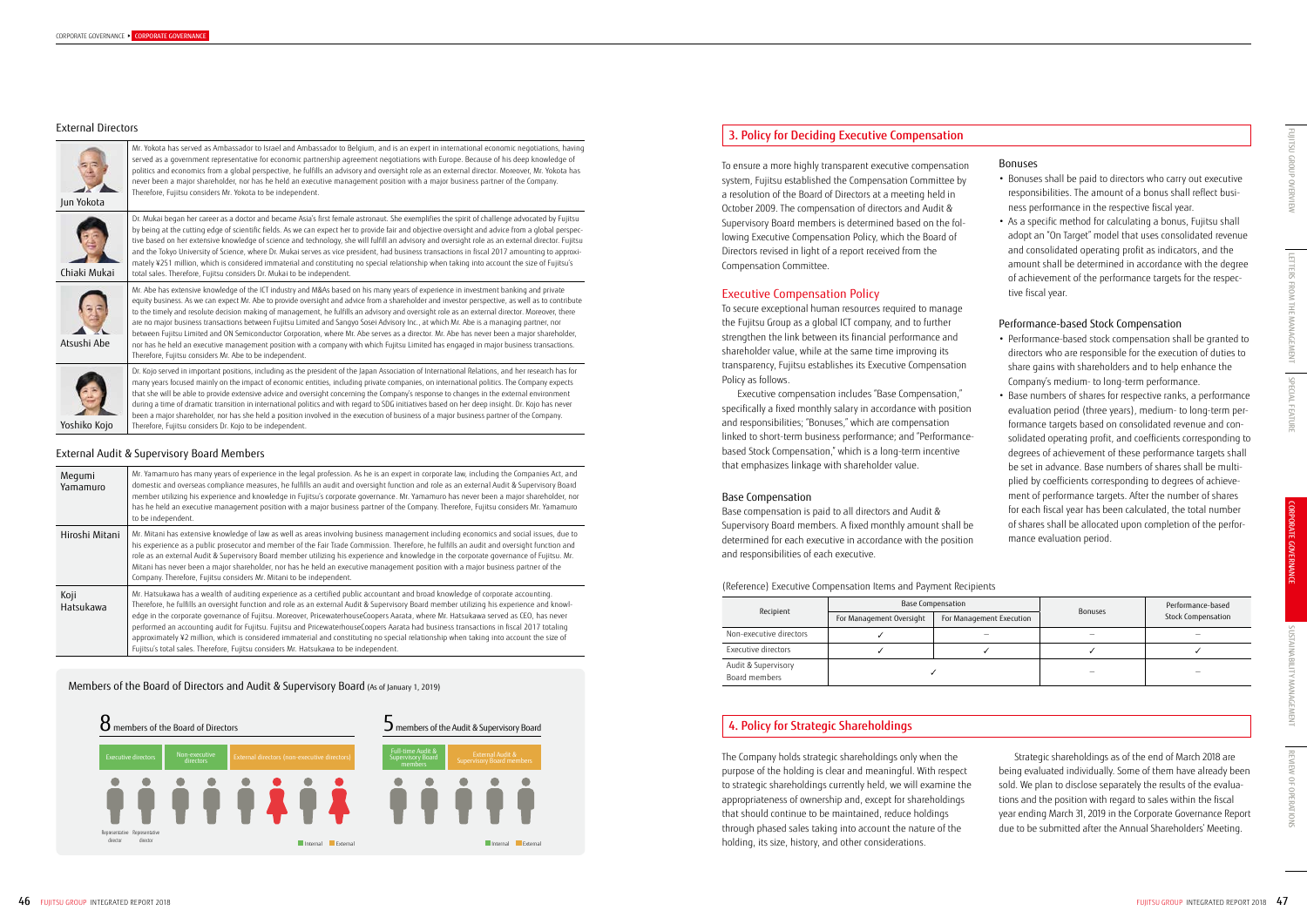| Recipient                            |                                                      | Base Compensation | <b>Bonuses</b> | Performance-based  |  |
|--------------------------------------|------------------------------------------------------|-------------------|----------------|--------------------|--|
|                                      | For Management Oversight<br>For Management Execution |                   |                | Stock Compensation |  |
| Non-executive directors              |                                                      |                   |                |                    |  |
| Executive directors                  |                                                      |                   |                |                    |  |
| Audit & Supervisory<br>Board members |                                                      |                   |                |                    |  |

### Bonuses

- Bonuses shall be paid to directors who carry out executive responsibilities. The amount of a bonus shall reflect business performance in the respective fiscal year.
- As a specific method for calculating a bonus, Fujitsu shall adopt an "On Target" model that uses consolidated revenue and consolidated operating profit as indicators, and the amount shall be determined in accordance with the degree of achievement of the performance targets for the respective fiscal year.

### Performance-based Stock Compensation

- Performance-based stock compensation shall be granted to directors who are responsible for the execution of duties to share gains with shareholders and to help enhance the Company's medium- to long-term performance.
- Base numbers of shares for respective ranks, a performance evaluation period (three years), medium- to long-term performance targets based on consolidated revenue and consolidated operating profit, and coefficients corresponding to degrees of achievement of these performance targets shall be set in advance. Base numbers of shares shall be multiplied by coefficients corresponding to degrees of achievement of performance targets. After the number of shares for each fiscal year has been calculated, the total number of shares shall be allocated upon completion of the performance evaluation period.

| e e      |  |
|----------|--|
| ш        |  |
| ۰.<br>۰. |  |

Strategic shareholdings as of the end of March 2018 are being evaluated individually. Some of them have already been sold. We plan to disclose separately the results of the evaluations and the position with regard to sales within the fiscal year ending March 31, 2019 in the Corporate Governance Report due to be submitted after the Annual Shareholders' Meeting.

To ensure a more highly transparent executive compensation system, Fujitsu established the Compensation Committee by a resolution of the Board of Directors at a meeting held in October 2009. The compensation of directors and Audit & Supervisory Board members is determined based on the following Executive Compensation Policy, which the Board of Directors revised in light of a report received from the Compensation Committee.

### Executive Compensation Policy

To secure exceptional human resources required to manage the Fujitsu Group as a global ICT company, and to further strengthen the link between its financial performance and shareholder value, while at the same time improving its transparency, Fujitsu establishes its Executive Compensation Policy as follows.

Executive compensation includes "Base Compensation," specifically a fixed monthly salary in accordance with position and responsibilities; "Bonuses," which are compensation linked to short-term business performance; and "Performancebased Stock Compensation," which is a long-term incentive that emphasizes linkage with shareholder value.

### Base Compensation

Base compensation is paid to all directors and Audit & Supervisory Board members. A fixed monthly amount shall be determined for each executive in accordance with the position and responsibilities of each executive.

### (Reference) Executive Compensation Items and Payment Recipien

The Company holds strategic shareholdings only when the purpose of the holding is clear and meaningful. With respect to strategic shareholdings currently held, we will examine the appropriateness of ownership and, except for shareholdings that should continue to be maintained, reduce holdings through phased sales taking into account the nature of the holding, its size, history, and other considerations.

### 3. Policy for Deciding Executive Compensation

## 4. Policy for Strategic Shareholdings

### Members of the Board of Directors and Audit & Supervisory Board (As of January 1, 2019)



### External Directors





Mr. Yokota has served as Ambassador to Israel and Ambassador to Belgium, and is an expert in international economic negotiations, having served as a government representative for economic partnership agreement negotiations with Europe. Because of his deep knowledge of politics and economics from a global perspective, he fulfills an advisory and oversight role as an external director. Moreover, Mr. Yokota has never been a major shareholder, nor has he held an executive management position with a major business partner of the Company. Therefore, Fujitsu considers Mr. Yokota to be independent.

Chiaki Mukai

Dr. Mukai began her career as a doctor and became Asia's first female astronaut. She exemplifies the spirit of challenge advocated by Fujitsu by being at the cutting edge of scientific fields. As we can expect her to provide fair and objective oversight and advice from a global perspective based on her extensive knowledge of science and technology, she will fulfill an advisory and oversight role as an external director. Fujitsu and the Tokyo University of Science, where Dr. Mukai serves as vice president, had business transactions in fiscal 2017 amounting to approximately ¥251 million, which is considered immaterial and constituting no special relationship when taking into account the size of Fujitsu's total sales. Therefore, Fujitsu considers Dr. Mukai to be independent.



Atsushi Abe

Mr. Abe has extensive knowledge of the ICT industry and M&As based on his many years of experience in investment banking and private equity business. As we can expect Mr. Abe to provide oversight and advice from a shareholder and investor perspective, as well as to contribute to the timely and resolute decision making of management, he fulfills an advisory and oversight role as an external director. Moreover, there are no major business transactions between Fujitsu Limited and Sangyo Sosei Advisory Inc., at which Mr. Abe is a managing partner, nor between Fujitsu Limited and ON Semiconductor Corporation, where Mr. Abe serves as a director. Mr. Abe has never been a major shareholder, nor has he held an executive management position with a company with which Fujitsu Limited has engaged in major business transactions. Therefore, Fujitsu considers Mr. Abe to be independent.



Dr. Kojo served in important positions, including as the president of the Japan Association of International Relations, and her research has for many years focused mainly on the impact of economic entities, including private companies, on international politics. The Company expects that she will be able to provide extensive advice and oversight concerning the Company's response to changes in the external environment during a time of dramatic transition in international politics and with regard to SDG initiatives based on her deep insight. Dr. Kojo has never been a major shareholder, nor has she held a position involved in the execution of business of a major business partner of the Company. Therefore, Fujitsu considers Dr. Kojo to be independent.

### External Audit & Supervisory Board Members

| Megumi<br>Yamamuro | Mr. Yamamuro has many years of experience in the legal profession. As he is an expert in corporate law, including the Companies Act, and<br>domestic and overseas compliance measures, he fulfills an audit and oversight function and role as an external Audit & Supervisory Board<br>member utilizing his experience and knowledge in Fujitsu's corporate governance. Mr. Yamamuro has never been a major shareholder, nor<br>has he held an executive management position with a major business partner of the Company. Therefore, Fujitsu considers Mr. Yamamuro<br>to be independent.                                                                                                                                                                                                    |
|--------------------|------------------------------------------------------------------------------------------------------------------------------------------------------------------------------------------------------------------------------------------------------------------------------------------------------------------------------------------------------------------------------------------------------------------------------------------------------------------------------------------------------------------------------------------------------------------------------------------------------------------------------------------------------------------------------------------------------------------------------------------------------------------------------------------------|
| Hiroshi Mitani     | Mr. Mitani has extensive knowledge of law as well as areas involving business management including economics and social issues, due to<br>his experience as a public prosecutor and member of the Fair Trade Commission. Therefore, he fulfills an audit and oversight function and<br>role as an external Audit & Supervisory Board member utilizing his experience and knowledge in the corporate governance of Fujitsu. Mr.<br>Mitani has never been a major shareholder, nor has he held an executive management position with a major business partner of the<br>Company. Therefore, Fujitsu considers Mr. Mitani to be independent.                                                                                                                                                      |
| Koji<br>Hatsukawa  | Mr. Hatsukawa has a wealth of auditing experience as a certified public accountant and broad knowledge of corporate accounting.<br>Therefore, he fulfills an oversight function and role as an external Audit & Supervisory Board member utilizing his experience and knowl-<br>edge in the corporate governance of Fujitsu. Moreover, PricewaterhouseCoopers Aarata, where Mr. Hatsukawa served as CEO, has never<br>performed an accounting audit for Fujitsu. Fujitsu and PricewaterhouseCoopers Aarata had business transactions in fiscal 2017 totaling<br>approximately ¥2 million, which is considered immaterial and constituting no special relationship when taking into account the size of<br>Fujitsu's total sales. Therefore, Fujitsu considers Mr. Hatsukawa to be independent. |